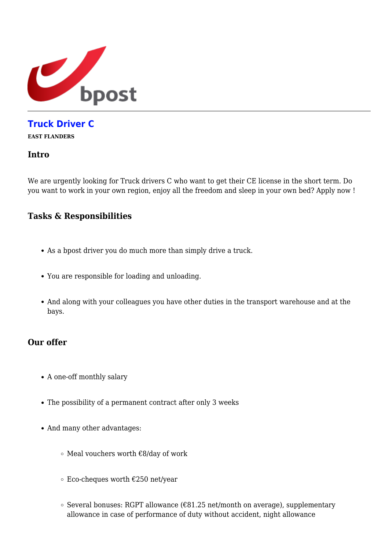

# **[Truck Driver C](https://career.bpost.be/en/vacancy/east-flanders/truck-driver-c/1225142)**

**EAST FLANDERS**

### **Intro**

We are urgently looking for Truck drivers C who want to get their CE license in the short term. Do you want to work in your own region, enjoy all the freedom and sleep in your own bed? Apply now !

## **Tasks & Responsibilities**

- As a bpost driver you do much more than simply drive a truck.
- You are responsible for loading and unloading.
- And along with your colleagues you have other duties in the transport warehouse and at the bays.

## **Our offer**

- A one-off monthly salary
- The possibility of a permanent contract after only 3 weeks
- And many other advantages:
	- $\circ$  Meal vouchers worth  $\epsilon$ 8/day of work
	- $\circ$  Eco-cheques worth  $\epsilon$ 250 net/year
	- $\circ$  Several bonuses: RGPT allowance ( $\epsilon$ 81.25 net/month on average), supplementary allowance in case of performance of duty without accident, night allowance